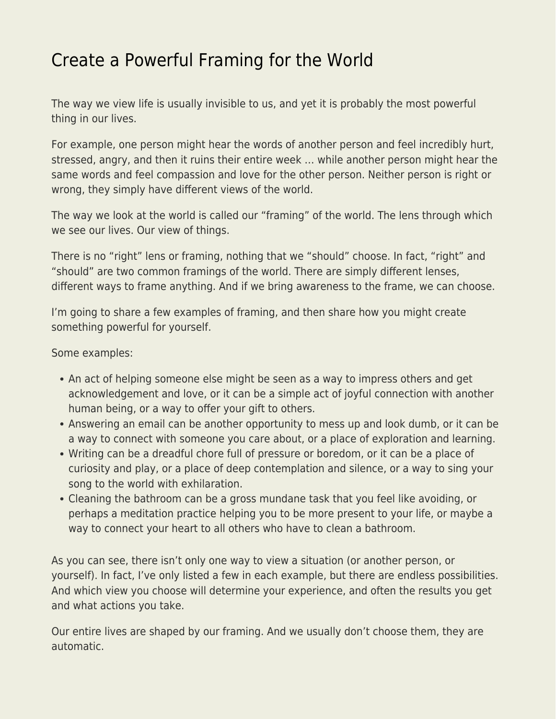## [Create a Powerful Framing for the World](https://everything-voluntary.com/create-a-powerful-framing-for-the-world)

The way we view life is usually invisible to us, and yet it is probably the most powerful thing in our lives.

For example, one person might hear the words of another person and feel incredibly hurt, stressed, angry, and then it ruins their entire week … while another person might hear the same words and feel compassion and love for the other person. Neither person is right or wrong, they simply have different views of the world.

The way we look at the world is called our "framing" of the world. The lens through which we see our lives. Our view of things.

There is no "right" lens or framing, nothing that we "should" choose. In fact, "right" and "should" are two common framings of the world. There are simply different lenses, different ways to frame anything. And if we bring awareness to the frame, we can choose.

I'm going to share a few examples of framing, and then share how you might create something powerful for yourself.

Some examples:

- An act of helping someone else might be seen as a way to impress others and get acknowledgement and love, or it can be a simple act of joyful connection with another human being, or a way to offer your gift to others.
- Answering an email can be another opportunity to mess up and look dumb, or it can be a way to connect with someone you care about, or a place of exploration and learning.
- Writing can be a dreadful chore full of pressure or boredom, or it can be a place of curiosity and play, or a place of deep contemplation and silence, or a way to sing your song to the world with exhilaration.
- Cleaning the bathroom can be a gross mundane task that you feel like avoiding, or perhaps a meditation practice helping you to be more present to your life, or maybe a way to connect your heart to all others who have to clean a bathroom.

As you can see, there isn't only one way to view a situation (or another person, or yourself). In fact, I've only listed a few in each example, but there are endless possibilities. And which view you choose will determine your experience, and often the results you get and what actions you take.

Our entire lives are shaped by our framing. And we usually don't choose them, they are automatic.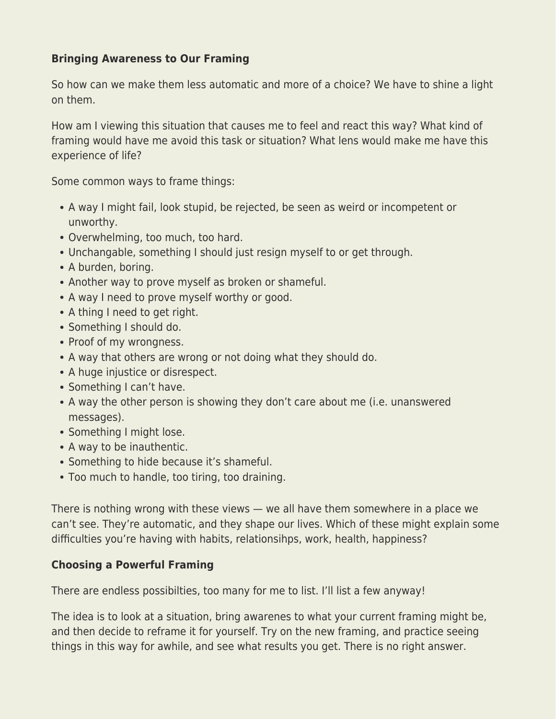## **Bringing Awareness to Our Framing**

So how can we make them less automatic and more of a choice? We have to shine a light on them.

How am I viewing this situation that causes me to feel and react this way? What kind of framing would have me avoid this task or situation? What lens would make me have this experience of life?

Some common ways to frame things:

- A way I might fail, look stupid, be rejected, be seen as weird or incompetent or unworthy.
- Overwhelming, too much, too hard.
- Unchangable, something I should just resign myself to or get through.
- A burden, boring.
- Another way to prove myself as broken or shameful.
- A way I need to prove myself worthy or good.
- A thing I need to get right.
- Something I should do.
- Proof of my wrongness.
- A way that others are wrong or not doing what they should do.
- A huge injustice or disrespect.
- Something I can't have.
- A way the other person is showing they don't care about me (i.e. unanswered messages).
- Something I might lose.
- A way to be inauthentic.
- Something to hide because it's shameful.
- Too much to handle, too tiring, too draining.

There is nothing wrong with these views — we all have them somewhere in a place we can't see. They're automatic, and they shape our lives. Which of these might explain some difficulties you're having with habits, relationsihps, work, health, happiness?

## **Choosing a Powerful Framing**

There are endless possibilties, too many for me to list. I'll list a few anyway!

The idea is to look at a situation, bring awarenes to what your current framing might be, and then decide to reframe it for yourself. Try on the new framing, and practice seeing things in this way for awhile, and see what results you get. There is no right answer.